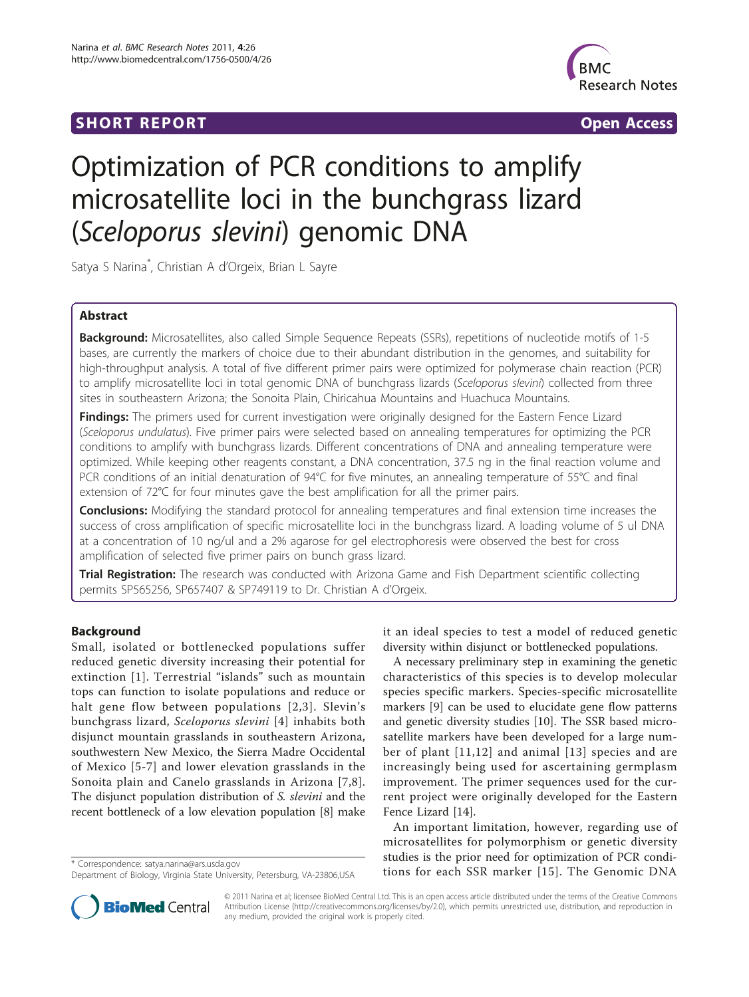# **SHORT REPORT SHORT CONSUMING THE SHORT CONSUMING THE SHORT CONSUMING THE SHORT CONSUMING THE SHORT CONSUMING THE SHORT CONSUMING THE SHORT CONSUMING THE SHORT CONSUMING THE SHORT CONSUMING THE SHORT CONSUMING THE SHORT**



# Optimization of PCR conditions to amplify microsatellite loci in the bunchgrass lizard (Sceloporus slevini) genomic DNA

Satya S Narina\* , Christian A d'Orgeix, Brian L Sayre

# Abstract

Background: Microsatellites, also called Simple Sequence Repeats (SSRs), repetitions of nucleotide motifs of 1-5 bases, are currently the markers of choice due to their abundant distribution in the genomes, and suitability for high-throughput analysis. A total of five different primer pairs were optimized for polymerase chain reaction (PCR) to amplify microsatellite loci in total genomic DNA of bunchgrass lizards (Sceloporus slevini) collected from three sites in southeastern Arizona; the Sonoita Plain, Chiricahua Mountains and Huachuca Mountains.

Findings: The primers used for current investigation were originally designed for the Eastern Fence Lizard (Sceloporus undulatus). Five primer pairs were selected based on annealing temperatures for optimizing the PCR conditions to amplify with bunchgrass lizards. Different concentrations of DNA and annealing temperature were optimized. While keeping other reagents constant, a DNA concentration, 37.5 ng in the final reaction volume and PCR conditions of an initial denaturation of 94°C for five minutes, an annealing temperature of 55°C and final extension of 72°C for four minutes gave the best amplification for all the primer pairs.

**Conclusions:** Modifying the standard protocol for annealing temperatures and final extension time increases the success of cross amplification of specific microsatellite loci in the bunchgrass lizard. A loading volume of 5 ul DNA at a concentration of 10 ng/ul and a 2% agarose for gel electrophoresis were observed the best for cross amplification of selected five primer pairs on bunch grass lizard.

**Trial Registration:** The research was conducted with Arizona Game and Fish Department scientific collecting permits SP565256, SP657407 & SP749119 to Dr. Christian A d'Orgeix.

## **Background**

Small, isolated or bottlenecked populations suffer reduced genetic diversity increasing their potential for extinction [[1\]](#page-4-0). Terrestrial "islands" such as mountain tops can function to isolate populations and reduce or halt gene flow between populations [\[2,3\]](#page-4-0). Slevin's bunchgrass lizard, Sceloporus slevini [\[4](#page-4-0)] inhabits both disjunct mountain grasslands in southeastern Arizona, southwestern New Mexico, the Sierra Madre Occidental of Mexico [\[5-7\]](#page-4-0) and lower elevation grasslands in the Sonoita plain and Canelo grasslands in Arizona [[7](#page-4-0),[8\]](#page-4-0). The disjunct population distribution of S. slevini and the recent bottleneck of a low elevation population [\[8](#page-4-0)] make



A necessary preliminary step in examining the genetic characteristics of this species is to develop molecular species specific markers. Species-specific microsatellite markers [[9\]](#page-4-0) can be used to elucidate gene flow patterns and genetic diversity studies [[10](#page-4-0)]. The SSR based microsatellite markers have been developed for a large number of plant [[11,](#page-4-0)[12\]](#page-5-0) and animal [[13](#page-5-0)] species and are increasingly being used for ascertaining germplasm improvement. The primer sequences used for the current project were originally developed for the Eastern Fence Lizard [[14](#page-5-0)].

An important limitation, however, regarding use of microsatellites for polymorphism or genetic diversity studies is the prior need for optimization of PCR condi\* Correspondence: [satya.narina@ars.usda.gov](mailto:satya.narina@ars.usda.gov)<br>Department of Biology Virginia State University Petersburg VA-23806USA **tions for each SSR marker [[15](#page-5-0)]. The Genomic DNA** 



© 2011 Narina et al; licensee BioMed Central Ltd. This is an open access article distributed under the terms of the Creative Commons Attribution License [\(http://creativecommons.org/licenses/by/2.0](http://creativecommons.org/licenses/by/2.0)), which permits unrestricted use, distribution, and reproduction in any medium, provided the original work is properly cited.

Department of Biology, Virginia State University, Petersburg, VA-23806,USA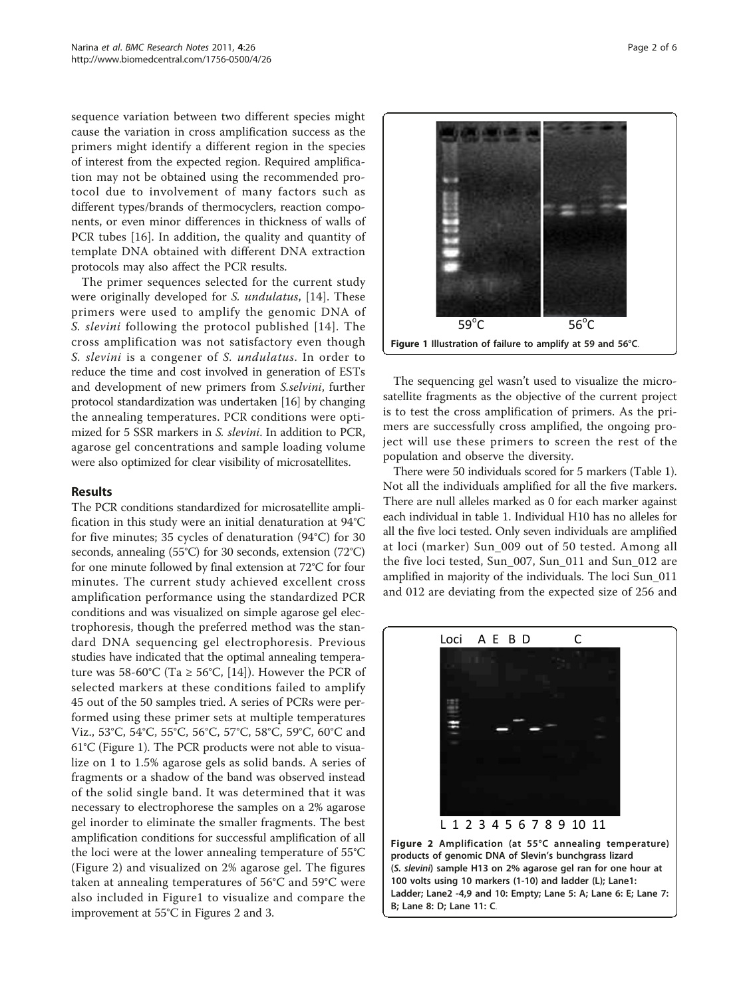<span id="page-1-0"></span>sequence variation between two different species might cause the variation in cross amplification success as the primers might identify a different region in the species of interest from the expected region. Required amplification may not be obtained using the recommended protocol due to involvement of many factors such as different types/brands of thermocyclers, reaction components, or even minor differences in thickness of walls of PCR tubes [\[16](#page-5-0)]. In addition, the quality and quantity of template DNA obtained with different DNA extraction protocols may also affect the PCR results.

The primer sequences selected for the current study were originally developed for S. undulatus, [\[14\]](#page-5-0). These primers were used to amplify the genomic DNA of S. slevini following the protocol published [[14\]](#page-5-0). The cross amplification was not satisfactory even though S. slevini is a congener of S. undulatus. In order to reduce the time and cost involved in generation of ESTs and development of new primers from S.selvini, further protocol standardization was undertaken [[16](#page-5-0)] by changing the annealing temperatures. PCR conditions were optimized for 5 SSR markers in S. slevini. In addition to PCR, agarose gel concentrations and sample loading volume were also optimized for clear visibility of microsatellites.

# Results

The PCR conditions standardized for microsatellite amplification in this study were an initial denaturation at 94°C for five minutes; 35 cycles of denaturation (94°C) for 30 seconds, annealing (55°C) for 30 seconds, extension (72°C) for one minute followed by final extension at 72°C for four minutes. The current study achieved excellent cross amplification performance using the standardized PCR conditions and was visualized on simple agarose gel electrophoresis, though the preferred method was the standard DNA sequencing gel electrophoresis. Previous studies have indicated that the optimal annealing temperature was 58-60°C (Ta  $\geq$  56°C, [[14\]](#page-5-0)). However the PCR of selected markers at these conditions failed to amplify 45 out of the 50 samples tried. A series of PCRs were performed using these primer sets at multiple temperatures Viz., 53°C, 54°C, 55°C, 56°C, 57°C, 58°C, 59°C, 60°C and 61°C (Figure 1). The PCR products were not able to visualize on 1 to 1.5% agarose gels as solid bands. A series of fragments or a shadow of the band was observed instead of the solid single band. It was determined that it was necessary to electrophorese the samples on a 2% agarose gel inorder to eliminate the smaller fragments. The best amplification conditions for successful amplification of all the loci were at the lower annealing temperature of 55°C (Figure 2) and visualized on 2% agarose gel. The figures taken at annealing temperatures of 56°C and 59°C were also included in Figure1 to visualize and compare the improvement at 55°C in Figures 2 and [3](#page-2-0).



The sequencing gel wasn't used to visualize the microsatellite fragments as the objective of the current project is to test the cross amplification of primers. As the primers are successfully cross amplified, the ongoing project will use these primers to screen the rest of the population and observe the diversity.

There were 50 individuals scored for 5 markers (Table [1](#page-3-0)). Not all the individuals amplified for all the five markers. There are null alleles marked as 0 for each marker against each individual in table [1](#page-3-0). Individual H10 has no alleles for all the five loci tested. Only seven individuals are amplified at loci (marker) Sun\_009 out of 50 tested. Among all the five loci tested, Sun\_007, Sun\_011 and Sun\_012 are amplified in majority of the individuals. The loci Sun\_011 and 012 are deviating from the expected size of 256 and



Figure 2 Amplification (at 55°C annealing temperature) products of genomic DNA of Slevin's bunchgrass lizard (S. slevini) sample H13 on 2% agarose gel ran for one hour at 100 volts using 10 markers (1-10) and ladder (L); Lane1: Ladder; Lane2 -4,9 and 10: Empty; Lane 5: A; Lane 6: E; Lane 7: B; Lane 8: D; Lane 11: C.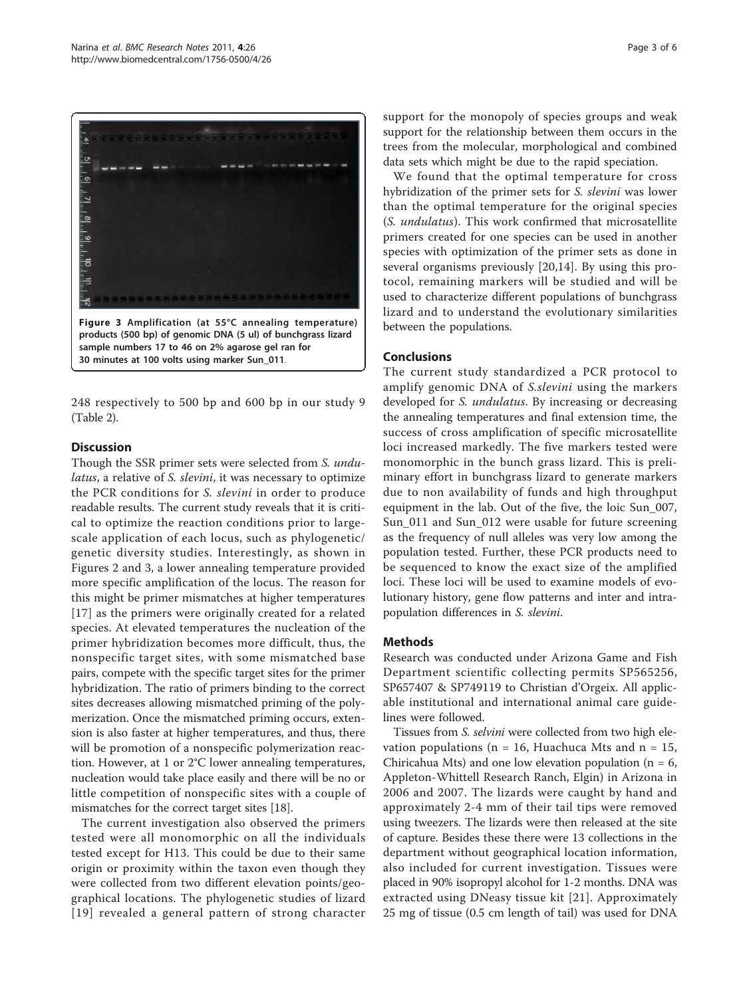<span id="page-2-0"></span>

30 minutes at 100 volts using marker Sun\_011.

248 respectively to 500 bp and 600 bp in our study 9 (Table [2](#page-4-0)).

## **Discussion**

Though the SSR primer sets were selected from S. undulatus, a relative of S. slevini, it was necessary to optimize the PCR conditions for S. slevini in order to produce readable results. The current study reveals that it is critical to optimize the reaction conditions prior to largescale application of each locus, such as phylogenetic/ genetic diversity studies. Interestingly, as shown in Figures [2](#page-1-0) and 3, a lower annealing temperature provided more specific amplification of the locus. The reason for this might be primer mismatches at higher temperatures [[17](#page-5-0)] as the primers were originally created for a related species. At elevated temperatures the nucleation of the primer hybridization becomes more difficult, thus, the nonspecific target sites, with some mismatched base pairs, compete with the specific target sites for the primer hybridization. The ratio of primers binding to the correct sites decreases allowing mismatched priming of the polymerization. Once the mismatched priming occurs, extension is also faster at higher temperatures, and thus, there will be promotion of a nonspecific polymerization reaction. However, at 1 or 2°C lower annealing temperatures, nucleation would take place easily and there will be no or little competition of nonspecific sites with a couple of mismatches for the correct target sites [\[18\]](#page-5-0).

The current investigation also observed the primers tested were all monomorphic on all the individuals tested except for H13. This could be due to their same origin or proximity within the taxon even though they were collected from two different elevation points/geographical locations. The phylogenetic studies of lizard [[19](#page-5-0)] revealed a general pattern of strong character support for the monopoly of species groups and weak support for the relationship between them occurs in the trees from the molecular, morphological and combined data sets which might be due to the rapid speciation.

We found that the optimal temperature for cross hybridization of the primer sets for S. slevini was lower than the optimal temperature for the original species (S. undulatus). This work confirmed that microsatellite primers created for one species can be used in another species with optimization of the primer sets as done in several organisms previously [\[20](#page-5-0),[14\]](#page-5-0). By using this protocol, remaining markers will be studied and will be used to characterize different populations of bunchgrass lizard and to understand the evolutionary similarities between the populations.

# Conclusions

The current study standardized a PCR protocol to amplify genomic DNA of S.slevini using the markers developed for S. *undulatus*. By increasing or decreasing the annealing temperatures and final extension time, the success of cross amplification of specific microsatellite loci increased markedly. The five markers tested were monomorphic in the bunch grass lizard. This is preliminary effort in bunchgrass lizard to generate markers due to non availability of funds and high throughput equipment in the lab. Out of the five, the loic Sun\_007, Sun\_011 and Sun\_012 were usable for future screening as the frequency of null alleles was very low among the population tested. Further, these PCR products need to be sequenced to know the exact size of the amplified loci. These loci will be used to examine models of evolutionary history, gene flow patterns and inter and intrapopulation differences in S. slevini.

# Methods

Research was conducted under Arizona Game and Fish Department scientific collecting permits SP565256, SP657407 & SP749119 to Christian d'Orgeix. All applicable institutional and international animal care guidelines were followed.

Tissues from S. selvini were collected from two high elevation populations ( $n = 16$ , Huachuca Mts and  $n = 15$ , Chiricahua Mts) and one low elevation population ( $n = 6$ , Appleton-Whittell Research Ranch, Elgin) in Arizona in 2006 and 2007. The lizards were caught by hand and approximately 2-4 mm of their tail tips were removed using tweezers. The lizards were then released at the site of capture. Besides these there were 13 collections in the department without geographical location information, also included for current investigation. Tissues were placed in 90% isopropyl alcohol for 1-2 months. DNA was extracted using DNeasy tissue kit [[21\]](#page-5-0). Approximately 25 mg of tissue (0.5 cm length of tail) was used for DNA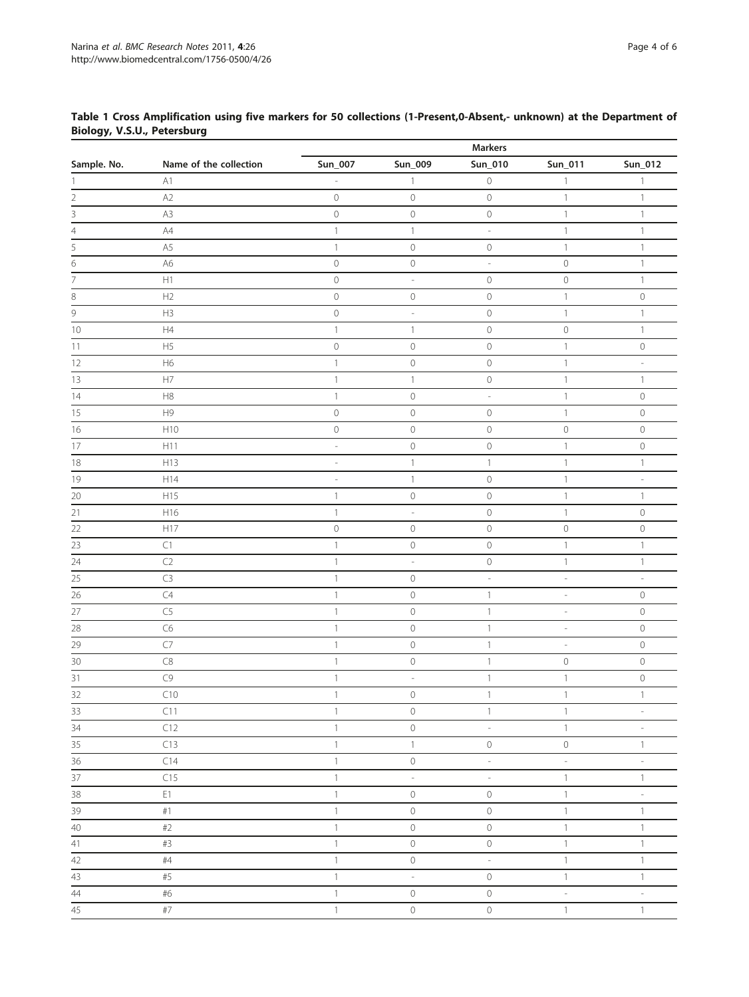|                 |                        |                           |                          | <b>Markers</b>           |                          |                          |
|-----------------|------------------------|---------------------------|--------------------------|--------------------------|--------------------------|--------------------------|
| Sample. No.     | Name of the collection | Sun_007                   | Sun_009                  | Sun_010                  | Sun_011                  | Sun_012                  |
|                 | A1                     |                           | 1                        | $\cal O$                 | $\mathbf{1}$             | $\mathbf{1}$             |
| 2               | A2                     | $\circlearrowright$       | $\mathbf 0$              | $\mathcal O$             | $\mathbf{1}$             | $\mathbf{1}$             |
| 3               | A3                     | $\mathbb O$               | $\mathcal O$             | $\mathcal O$             | $\mathbf{1}$             | $\mathbf{1}$             |
| 4               | $\mathsf{A}4$          | $\mathbf{1}$              | $\mathbf{1}$             | $\overline{\phantom{a}}$ | $\mathbf{1}$             | $\mathbf{1}$             |
| $\overline{5}$  | A5                     | $\mathbf{1}$              | $\mathbf 0$              | $\mathsf{O}\xspace$      | $\mathbf{1}$             | $\mathbbm{1}$            |
| $\frac{1}{6}$   | A6                     | $\mathbf 0$               | $\cal O$                 | $\overline{\phantom{a}}$ | $\mathbb O$              | $\mathbbm{1}$            |
| $\frac{1}{7}$   | H1                     | $\mathbf 0$               | $\overline{\phantom{m}}$ | $\mathcal O$             | $\mathbb O$              | $\mathbf{1}$             |
| 8               | H2                     | $\circ$                   | $\mathbb O$              | $\mathcal O$             | $\mathbf{1}$             | $\mathbb O$              |
| 9               | H3                     | $\mathbb O$               | $\frac{1}{2}$            | $\mathcal O$             | $\mathbf{1}$             | $\mathbf{1}$             |
| 10              | H4                     | $\mathbf{1}$              | 1                        | $\mathcal O$             | $\mathsf{O}\xspace$      | $\mathbbm{1}$            |
| 11              | H5                     | $\mathbf 0$               | $\mathbf 0$              | $\mathcal O$             | $\mathbf{1}$             | $\mathbb O$              |
| 12              | H6                     | $\mathbf{1}$              | $\mathsf{O}\xspace$      | $\mathcal O$             | $\mathbf{1}$             | $\overline{\phantom{a}}$ |
| 13              | H7                     | $\mathbf{1}$              | $\mathbf{1}$             | $\mathcal O$             | $\mathbf{1}$             | $\mathbf{1}$             |
| 14              | $\mathsf{H}8$          | $\mathbf{1}$              | $\mathsf{O}\xspace$      | $\overline{\phantom{a}}$ | $\mathbf{1}$             | $\mathbb O$              |
| 15              | H <sub>9</sub>         | $\mathbf 0$               | $\mathbb O$              | 0                        | $\mathbf{1}$             | $\mathbb O$              |
| 16              | H10                    | $\mathbf 0$               | $\mathcal O$             | $\mathcal O$             | $\mathbb O$              | $\mathbb O$              |
| $17\,$          | H11                    | $\overline{\phantom{a}}$  | $\mathbb O$              | $\mathcal O$             | $\mathbf{1}$             | $\circledcirc$           |
| 18              | H13                    | $\overline{\phantom{m}}$  | $\mathbf{1}$             | $\mathbf{1}$             | 1                        | $\mathbf{1}$             |
| 19              | H14                    | $\overline{\phantom{a}}$  | $\mathbf{1}$             | $\mathcal O$             | $\mathbf{1}$             | $\overline{\phantom{a}}$ |
| 20              | H15                    | $\mathbf{1}$              | $\mathbf 0$              | $\mathcal O$             | $\mathbf{1}$             | $\mathbbm{1}$            |
| 21              | H16                    | $\mathbf{1}$              | $\overline{\phantom{a}}$ | $\mathcal O$             | $\mathbf{1}$             | $\mathbb O$              |
| 22              | H17                    | $\mathbb O$               | $\mathbb O$              | $\mathcal O$             | $\mathsf{O}\xspace$      | $\circledcirc$           |
| 23              | $\mathsf{C}1$          | $\mathbf{1}$              | 0                        | $\mathcal O$             | $\mathbf{1}$             | $\mathbf{1}$             |
| 24              | C2                     | $\mathbf{1}$              | $\frac{1}{2}$            | $\cal O$                 | $\mathbf{1}$             | $\mathbbm{1}$            |
| $\overline{25}$ | $\mathsf{C}3$          | $\mathbf{1}$              | $\mathbb O$              | $\overline{\phantom{a}}$ | $\overline{\phantom{a}}$ | $\overline{\phantom{a}}$ |
| 26              | C4                     | $\mathbf{1}$              | $\mathcal O$             | $\mathbf{1}$             | $\overline{\phantom{a}}$ | $\mathbb O$              |
| 27              | C <sub>5</sub>         | $\mathbf{1}$              | $\mathbf 0$              | $\mathbf{1}$             | $\overline{\phantom{a}}$ | $\mathsf O$              |
| 28              | C <sub>6</sub>         | $\mathbf{1}$              | $\mathbb O$              | $\mathbf{1}$             | $\overline{\phantom{a}}$ | $\circlearrowright$      |
| 29              | C7                     | $\mathbf{1}$              | $\mathcal O$             | $\mathbf{1}$             | $\overline{\phantom{a}}$ | $\mathsf O$              |
| 30              | $\mathsf{C}8$          | $\mathbf{1}$              | $\mathbb O$              | $\mathbf{1}$             | $\circledcirc$           | $\mathbb O$              |
| 31              | $\mathbb{C}9$          | $\ensuremath{\mathbb{1}}$ | $\frac{1}{2}$            | $\mathbf{1}$             | $\mathbf{1}$             | $\mathbb O$              |
| 32              | C10                    | $\ensuremath{\mathsf{1}}$ | $\mathbb O$              | $\mathbbm{1}$            | $\mathbf{1}$             | $\mathbb{1}$             |
| $\overline{33}$ | C11                    | $\hat{1}$                 | $\mathbf 0$              | $\mathbbm{1}$            | $\mathbbm{1}$            |                          |
| $\overline{34}$ | C12                    | $\mathbf{1}$              | $\mathbb O$              | $\overline{\phantom{a}}$ | $\mathbf{1}$             | $\overline{\phantom{a}}$ |
| $\overline{35}$ | C13                    | $\mathbf{1}$              | $\mathbb{1}$             | $\mathsf{O}$             | $\,0\,$                  | $\mathbbm{1}$            |
| 36              | C14                    | $\mathbf{1}$              | $\mathbb O$              | $\overline{\phantom{a}}$ | $\overline{\phantom{a}}$ | $\overline{\phantom{a}}$ |
| 37              | C15                    | $\mathbf{1}$              | $\overline{\phantom{a}}$ | $\overline{\phantom{a}}$ | $\mathbbm{1}$            | $\mathbf{1}$             |
| 38              | E1                     | $\mathbf{1}$              | $\mathbf 0$              | $\,0\,$                  | $\mathbbm{1}$            | $\overline{\phantom{a}}$ |
| 39              | #1                     | $\mathbbm{1}$             | $\mathbf 0$              | $\mathsf{O}\xspace$      | $\mathbf{1}$             | $\mathbf{1}$             |
| 40              | #2                     | $\mathbf{1}$              | $\mathbb O$              | $\mathbb O$              | $\mathbf{1}$             | $\mathbf{1}$             |
| 41              | #3                     | $\mathbf{1}$              | $\mathbb O$              | $\circlearrowleft$       | $\mathbf{1}$             | $\mathbf{1}$             |
| 42              | #4                     | $\,1\,$                   | $\mathsf{O}\xspace$      | $\overline{\phantom{a}}$ | $\mathbf{1}$             | $\,1\,$                  |
| 43              | #5                     | $\mathbf{1}$              | $\mathbb{Z}^2$           | $\,0\,$                  | $\mathbf{1}$             | $\overline{1}$           |
| 44              | #6                     | $\mathbbm{1}$             | $\mathsf{O}$             | $\mathsf{O}\xspace$      | $\overline{\phantom{a}}$ | $\overline{\phantom{a}}$ |

45 #7 #7 1 0 0 0 1 1

#### <span id="page-3-0"></span>Table 1 Cross Amplification using five markers for 50 collections (1-Present,0-Absent,- unknown) at the Department of Biology, V.S.U., Petersburg  $M = 1$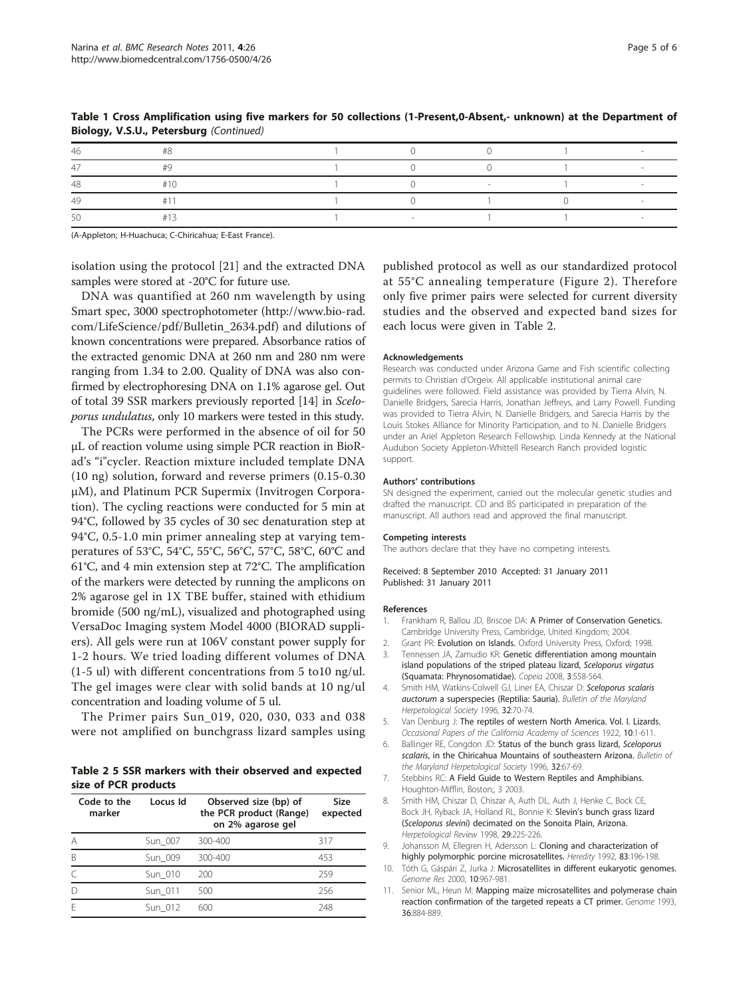| $\Delta$ O |  |  |  |
|------------|--|--|--|
|            |  |  |  |

<span id="page-4-0"></span>Table 1 Cross Amplification using five markers for 50 collections (1-Present,0-Absent,- unknown) at the Department of Biology, V.S.U., Petersburg (Continued)

(A-Appleton; H-Huachuca; C-Chiricahua; E-East France).

isolation using the protocol [\[21](#page-5-0)] and the extracted DNA samples were stored at -20°C for future use.

DNA was quantified at 260 nm wavelength by using Smart spec, 3000 spectrophotometer ([http://www.bio-rad.](http://www.bio-rad.com/LifeScience/pdf/Bulletin_2634.pdf) [com/LifeScience/pdf/Bulletin\\_2634.pdf\)](http://www.bio-rad.com/LifeScience/pdf/Bulletin_2634.pdf) and dilutions of known concentrations were prepared. Absorbance ratios of the extracted genomic DNA at 260 nm and 280 nm were ranging from 1.34 to 2.00. Quality of DNA was also confirmed by electrophoresing DNA on 1.1% agarose gel. Out of total 39 SSR markers previously reported [\[14](#page-5-0)] in Sceloporus undulatus, only 10 markers were tested in this study.

The PCRs were performed in the absence of oil for 50 μL of reaction volume using simple PCR reaction in BioRad's "i"cycler. Reaction mixture included template DNA (10 ng) solution, forward and reverse primers (0.15-0.30 μM), and Platinum PCR Supermix (Invitrogen Corporation). The cycling reactions were conducted for 5 min at 94°C, followed by 35 cycles of 30 sec denaturation step at 94°C, 0.5-1.0 min primer annealing step at varying temperatures of 53°C, 54°C, 55°C, 56°C, 57°C, 58°C, 60°C and 61°C, and 4 min extension step at 72°C. The amplification of the markers were detected by running the amplicons on 2% agarose gel in 1X TBE buffer, stained with ethidium bromide (500 ng/mL), visualized and photographed using VersaDoc Imaging system Model 4000 (BIORAD suppliers). All gels were run at 106V constant power supply for 1-2 hours. We tried loading different volumes of DNA (1-5 ul) with different concentrations from 5 to10 ng/ul. The gel images were clear with solid bands at 10 ng/ul concentration and loading volume of 5 ul.

The Primer pairs Sun\_019, 020, 030, 033 and 038 were not amplified on bunchgrass lizard samples using

Table 2 5 SSR markers with their observed and expected size of PCR products

| Code to the<br>marker | Locus Id | Observed size (bp) of<br>the PCR product (Range)<br>on 2% agarose gel | <b>Size</b><br>expected |
|-----------------------|----------|-----------------------------------------------------------------------|-------------------------|
| А                     | Sun 007  | 300-400                                                               | 317                     |
| B                     | Sun 009  | 300-400                                                               | 453                     |
|                       | Sun 010  | 200                                                                   | 259                     |
|                       | Sun 011  | 500                                                                   | 256                     |
| F                     | Sun 012  | 600                                                                   | 248                     |

published protocol as well as our standardized protocol at 55°C annealing temperature (Figure [2\)](#page-1-0). Therefore only five primer pairs were selected for current diversity studies and the observed and expected band sizes for each locus were given in Table 2.

#### Acknowledgements

Research was conducted under Arizona Game and Fish scientific collecting permits to Christian d'Orgeix. All applicable institutional animal care guidelines were followed. Field assistance was provided by Tierra Alvin, N. Danielle Bridgers, Sarecia Harris, Jonathan Jeffreys, and Larry Powell. Funding was provided to Tierra Alvin, N. Danielle Bridgers, and Sarecia Harris by the Louis Stokes Alliance for Minority Participation, and to N. Danielle Bridgers under an Ariel Appleton Research Fellowship. Linda Kennedy at the National Audubon Society Appleton-Whittell Research Ranch provided logistic support.

#### Authors' contributions

SN designed the experiment, carried out the molecular genetic studies and drafted the manuscript. CD and BS participated in preparation of the manuscript. All authors read and approved the final manuscript.

#### Competing interests

The authors declare that they have no competing interests.

Received: 8 September 2010 Accepted: 31 January 2011 Published: 31 January 2011

#### References

- 1. Frankham R, Ballou JD, Briscoe DA: A Primer of Conservation Genetics. Cambridge University Press, Cambridge, United Kingdom; 2004.
- 2. Grant PR: Evolution on Islands. Oxford University Press, Oxford: 1998.
- 3. Tennessen JA, Zamudio KR: Genetic differentiation among mountain island populations of the striped plateau lizard, Sceloporus virgatus (Squamata: Phrynosomatidae). Copeia 2008, 3:558-564.
- 4. Smith HM, Watkins-Colwell GJ, Liner EA, Chiszar D: Sceloporus scalaris auctorum a superspecies (Reptilia: Sauria). Bulletin of the Maryland Herpetological Society 1996, 32:70-74.
- 5. Van Denburg J: The reptiles of western North America. Vol. I. Lizards. Occasional Papers of the California Academy of Sciences 1922, 10:1-611.
- 6. Ballinger RE, Congdon JD: Status of the bunch grass lizard, Sceloporus scalaris, in the Chiricahua Mountains of southeastern Arizona. Bulletin of the Maryland Herpetological Society 1996, 32:67-69.
- 7. Stebbins RC: A Field Guide to Western Reptiles and Amphibians. Houghton-Mifflin, Boston;, 3 2003.
- 8. Smith HM, Chiszar D, Chiszar A, Auth DL, Auth J, Henke C, Bock CE, Bock JH, Ryback JA, Holland RL, Bonnie K: Slevin's bunch grass lizard (Sceloporus slevini) decimated on the Sonoita Plain, Arizona. Herpetological Review 1998, 29:225-226.
- 9. Johansson M, Ellegren H, Adersson L: Cloning and characterization of highly polymorphic porcine microsatellites. Heredity 1992, 83:196-198.
- 10. Tóth G, Gáspári Z, Jurka J: Microsatellites in different eukaryotic genomes. Genome Res 2000, 10:967-981.
- 11. Senior ML, Heun M: Mapping maize microsatellites and polymerase chain reaction confirmation of the targeted repeats a CT primer. Genome 1993, 36:884-889.